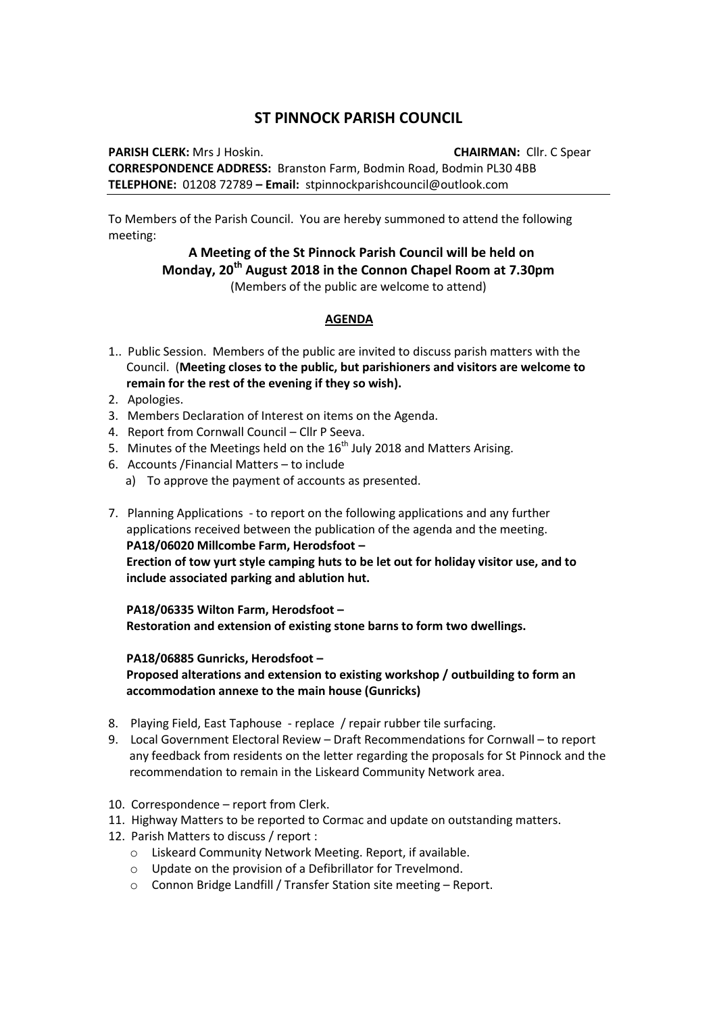## **ST PINNOCK PARISH COUNCIL**

**PARISH CLERK:** Mrs J Hoskin. **CHAIRMAN:** Cllr. C Spear

**CORRESPONDENCE ADDRESS:** Branston Farm, Bodmin Road, Bodmin PL30 4BB **TELEPHONE:** 01208 72789 **– Email:** stpinnockparishcouncil@outlook.com

To Members of the Parish Council. You are hereby summoned to attend the following meeting:

## **A Meeting of the St Pinnock Parish Council will be held on Monday, 20th August 2018 in the Connon Chapel Room at 7.30pm** (Members of the public are welcome to attend)

## **AGENDA**

- 1.. Public Session. Members of the public are invited to discuss parish matters with the Council. (**Meeting closes to the public, but parishioners and visitors are welcome to remain for the rest of the evening if they so wish).**
- 2. Apologies.
- 3. Members Declaration of Interest on items on the Agenda.
- 4. Report from Cornwall Council Cllr P Seeva.
- 5. Minutes of the Meetings held on the  $16<sup>th</sup>$  July 2018 and Matters Arising.
- 6. Accounts /Financial Matters to include
	- a) To approve the payment of accounts as presented.
- 7. Planning Applications to report on the following applications and any further applications received between the publication of the agenda and the meeting. **PA18/06020 Millcombe Farm, Herodsfoot –**

 **Erection of tow yurt style camping huts to be let out for holiday visitor use, and to include associated parking and ablution hut.**

 **PA18/06335 Wilton Farm, Herodsfoot – Restoration and extension of existing stone barns to form two dwellings.**

 **PA18/06885 Gunricks, Herodsfoot – Proposed alterations and extension to existing workshop / outbuilding to form an accommodation annexe to the main house (Gunricks)**

- 8. Playing Field, East Taphouse replace / repair rubber tile surfacing.
- 9. Local Government Electoral Review Draft Recommendations for Cornwall to report any feedback from residents on the letter regarding the proposals for St Pinnock and the recommendation to remain in the Liskeard Community Network area.
- 10. Correspondence report from Clerk.
- 11. Highway Matters to be reported to Cormac and update on outstanding matters.
- 12. Parish Matters to discuss / report :
	- o Liskeard Community Network Meeting. Report, if available.
	- o Update on the provision of a Defibrillator for Trevelmond.
	- o Connon Bridge Landfill / Transfer Station site meeting Report.